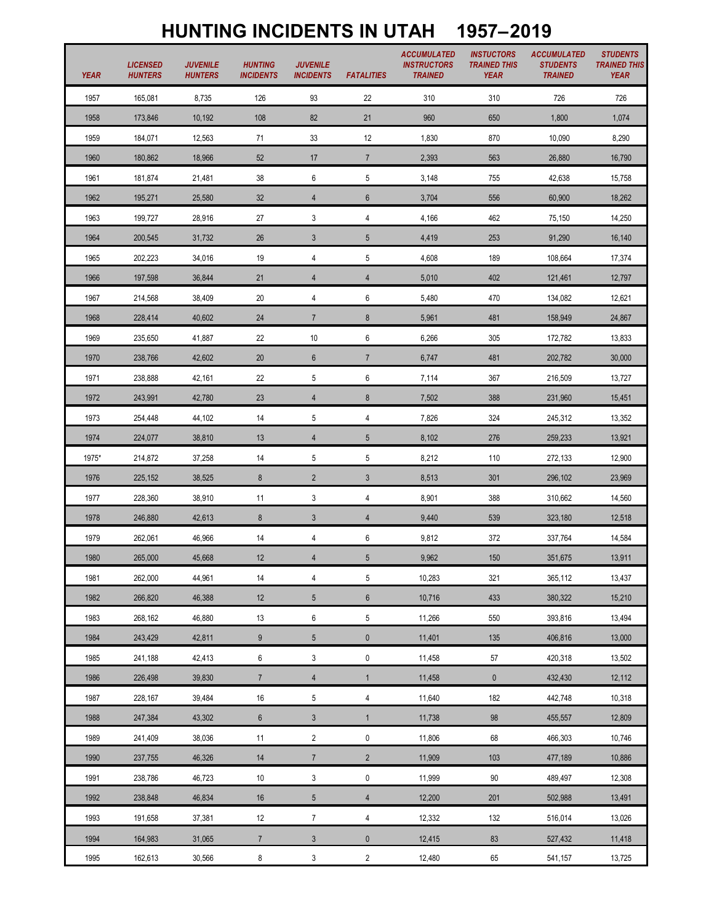## **HUNTING INCIDENTS IN UTAH 1957–2019**

| <b>YEAR</b> | <b>LICENSED</b><br><b>HUNTERS</b> | <b>JUVENILE</b><br><b>HUNTERS</b> | <b>HUNTING</b><br><b>INCIDENTS</b> | <b>JUVENILE</b><br><b>INCIDENTS</b> | <b>FATALITIES</b> | <b>ACCUMULATED</b><br><b>INSTRUCTORS</b><br><b>TRAINED</b> | <b>INSTUCTORS</b><br><b>TRAINED THIS</b><br><b>YEAR</b> | <b>ACCUMULATED</b><br><b>STUDENTS</b><br><b>TRAINED</b> | <b>STUDENTS</b><br><b>TRAINED THIS</b><br><b>YEAR</b> |
|-------------|-----------------------------------|-----------------------------------|------------------------------------|-------------------------------------|-------------------|------------------------------------------------------------|---------------------------------------------------------|---------------------------------------------------------|-------------------------------------------------------|
| 1957        | 165,081                           | 8,735                             | 126                                | 93                                  | 22                | 310                                                        | 310                                                     | 726                                                     | 726                                                   |
| 1958        | 173,846                           | 10,192                            | 108                                | 82                                  | 21                | 960                                                        | 650                                                     | 1,800                                                   | 1,074                                                 |
| 1959        | 184,071                           | 12,563                            | 71                                 | 33                                  | 12                | 1,830                                                      | 870                                                     | 10,090                                                  | 8,290                                                 |
| 1960        | 180,862                           | 18,966                            | 52                                 | 17                                  | $\overline{7}$    | 2,393                                                      | 563                                                     | 26,880                                                  | 16,790                                                |
| 1961        | 181,874                           | 21,481                            | 38                                 | 6                                   | 5                 | 3,148                                                      | 755                                                     | 42,638                                                  | 15,758                                                |
| 1962        | 195,271                           | 25,580                            | 32                                 | $\overline{4}$                      | $\boldsymbol{6}$  | 3,704                                                      | 556                                                     | 60,900                                                  | 18,262                                                |
| 1963        | 199,727                           | 28,916                            | 27                                 | 3                                   | 4                 | 4,166                                                      | 462                                                     | 75,150                                                  | 14,250                                                |
| 1964        | 200,545                           | 31,732                            | 26                                 | $\mathfrak{Z}$                      | $5\,$             | 4,419                                                      | 253                                                     | 91,290                                                  | 16,140                                                |
| 1965        | 202,223                           | 34,016                            | 19                                 | 4                                   | 5                 | 4,608                                                      | 189                                                     | 108,664                                                 | 17,374                                                |
| 1966        | 197,598                           | 36,844                            | 21                                 | $\overline{4}$                      | $\overline{4}$    | 5,010                                                      | 402                                                     | 121,461                                                 | 12,797                                                |
| 1967        | 214,568                           | 38,409                            | 20                                 | 4                                   | 6                 | 5,480                                                      | 470                                                     | 134,082                                                 | 12,621                                                |
| 1968        | 228.414                           | 40,602                            | 24                                 | $\overline{7}$                      | $\bf 8$           | 5,961                                                      | 481                                                     | 158,949                                                 | 24,867                                                |
| 1969        | 235,650                           | 41,887                            | 22                                 | $10\,$                              | 6                 | 6,266                                                      | 305                                                     | 172,782                                                 | 13,833                                                |
| 1970        | 238,766                           | 42,602                            | $20\,$                             | $6\phantom{.}$                      | $\overline{7}$    | 6,747                                                      | 481                                                     | 202,782                                                 | 30,000                                                |
| 1971        | 238,888                           | 42,161                            | 22                                 | 5                                   | 6                 | 7,114                                                      | 367                                                     | 216,509                                                 | 13,727                                                |
| 1972        | 243,991                           | 42,780                            | 23                                 | $\overline{4}$                      | $\bf 8$           | 7,502                                                      | 388                                                     | 231,960                                                 | 15,451                                                |
| 1973        | 254,448                           | 44,102                            | 14                                 | 5                                   | 4                 | 7,826                                                      | 324                                                     | 245,312                                                 | 13,352                                                |
| 1974        | 224,077                           | 38,810                            | 13                                 | $\overline{4}$                      | $5\,$             | 8,102                                                      | 276                                                     | 259,233                                                 | 13,921                                                |
| 1975*       | 214,872                           | 37,258                            | 14                                 | 5                                   | 5                 | 8,212                                                      | 110                                                     | 272,133                                                 | 12,900                                                |
| 1976        | 225,152                           | 38,525                            | $\boldsymbol{8}$                   | $\overline{2}$                      | $\mathfrak{Z}$    | 8,513                                                      | 301                                                     | 296,102                                                 | 23,969                                                |
| 1977        | 228,360                           | 38,910                            | 11                                 | 3                                   | 4                 | 8,901                                                      | 388                                                     | 310,662                                                 | 14,560                                                |
| 1978        | 246,880                           | 42,613                            | 8                                  | 3                                   | 4                 | 9,440                                                      | 539                                                     | 323,180                                                 | 12,518                                                |
| 1979        | 262,061                           | 46,966                            | $14$                               | $\overline{4}$                      | $\boldsymbol{6}$  | 9,812                                                      | 372                                                     | 337,764                                                 | 14,584                                                |
| 1980        | 265,000                           | 45,668                            | 12                                 | $\overline{4}$                      | $\sqrt{5}$        | 9,962                                                      | 150                                                     | 351,675                                                 | 13,911                                                |
| 1981        | 262,000                           | 44,961                            | 14                                 | $\overline{4}$                      | 5                 | 10,283                                                     | 321                                                     | 365,112                                                 | 13,437                                                |
| 1982        | 266,820                           | 46,388                            | 12                                 | $5\phantom{.0}$                     | $\boldsymbol{6}$  | 10,716                                                     | 433                                                     | 380,322                                                 | 15,210                                                |
| 1983        | 268,162                           | 46,880                            | 13                                 | $\,6\,$                             | 5                 | 11,266                                                     | 550                                                     | 393,816                                                 | 13,494                                                |
| 1984        | 243,429                           | 42,811                            | $\boldsymbol{9}$                   | $\sqrt{5}$                          | $\pmb{0}$         | 11,401                                                     | 135                                                     | 406,816                                                 | 13,000                                                |
| 1985        | 241,188                           | 42,413                            | 6                                  | 3                                   | $\pmb{0}$         | 11,458                                                     | 57                                                      | 420,318                                                 | 13,502                                                |
| 1986        | 226,498                           | 39,830                            | $\overline{7}$                     | $\overline{4}$                      | $\mathbf{1}$      | 11,458                                                     | $\mathbf 0$                                             | 432,430                                                 | 12,112                                                |
| 1987        | 228,167                           | 39,484                            | 16                                 | $5\,$                               | 4                 | 11,640                                                     | 182                                                     | 442,748                                                 | 10,318                                                |
| 1988        | 247,384                           | 43,302                            | $\boldsymbol{6}$                   | $\mathfrak{Z}$                      | $\mathbf{1}$      | 11,738                                                     | 98                                                      | 455,557                                                 | 12,809                                                |
| 1989        | 241,409                           | 38,036                            | 11                                 | $\overline{2}$                      | 0                 | 11,806                                                     | 68                                                      | 466,303                                                 | 10,746                                                |
| 1990        | 237,755                           | 46,326                            | $14$                               | $7\overline{ }$                     | $\overline{2}$    | 11,909                                                     | 103                                                     | 477,189                                                 | 10,886                                                |
| 1991        | 238,786                           | 46,723                            | 10                                 | 3                                   | $\pmb{0}$         | 11,999                                                     | 90                                                      | 489,497                                                 | 12,308                                                |
| 1992        | 238,848                           | 46,834                            | 16                                 | $5\overline{)}$                     | $\overline{4}$    | 12,200                                                     | 201                                                     | 502,988                                                 | 13,491                                                |
| 1993        | 191,658                           | 37,381                            | 12                                 | $\overline{7}$                      | 4                 | 12,332                                                     | 132                                                     | 516,014                                                 | 13,026                                                |
| 1994        | 164,983                           | 31,065                            | $\overline{7}$                     | $\mathfrak{Z}$                      | $\pmb{0}$         | 12,415                                                     | 83                                                      | 527,432                                                 | 11,418                                                |
| 1995        | 162,613                           | 30,566                            | 8                                  | $\mathbf{3}$                        | $\overline{c}$    | 12,480                                                     | 65                                                      | 541,157                                                 | 13,725                                                |